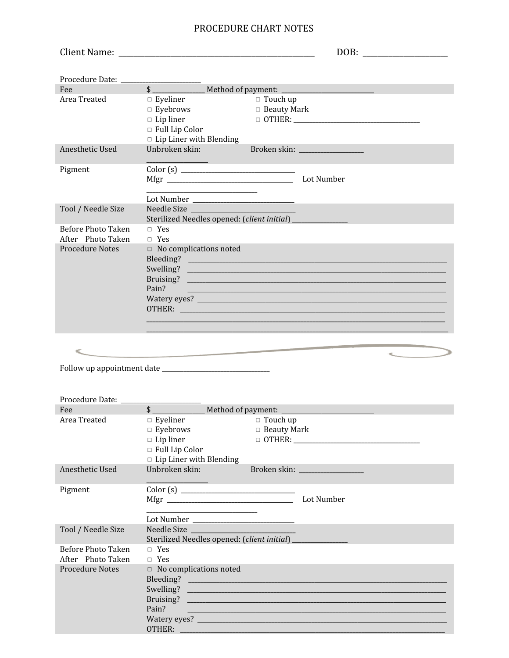## PROCEDURE CHART NOTES

|                                                                          | DOB:                                                                                                                                                                                                                                                                             |
|--------------------------------------------------------------------------|----------------------------------------------------------------------------------------------------------------------------------------------------------------------------------------------------------------------------------------------------------------------------------|
|                                                                          |                                                                                                                                                                                                                                                                                  |
| Fee                                                                      | $\sim$<br>Method of payment: _________                                                                                                                                                                                                                                           |
| Area Treated                                                             | $\Box$ Eyeliner<br>$\Box$ Touch up<br>$\Box$ Eyebrows<br>□ Beauty Mark<br>$\Box$ Lip liner<br>$\Box$ Full Lip Color<br>$\Box$ Lip Liner with Blending                                                                                                                            |
| Anesthetic Used                                                          | Unbroken skin:                                                                                                                                                                                                                                                                   |
| Pigment                                                                  | Lot Number                                                                                                                                                                                                                                                                       |
| Tool / Needle Size                                                       | Sterilized Needles opened: (client initial) _____________                                                                                                                                                                                                                        |
| <b>Before Photo Taken</b><br>After Photo Taken                           | $\Box$ Yes<br>$\Box$ Yes                                                                                                                                                                                                                                                         |
| <b>Procedure Notes</b>                                                   | $\Box$ No complications noted<br>Pain?<br><u> 1990 - Jan James James Jan James James James James James James James James James James James James James Jam</u><br>OTHER: CONTROL CONTROL CONTROL CONTROL CONTROL CONTROL CONTROL CONTROL CONTROL CONTROL CONTROL CONTROL CONTROL |
|                                                                          |                                                                                                                                                                                                                                                                                  |
|                                                                          |                                                                                                                                                                                                                                                                                  |
| Procedure Date: ______                                                   |                                                                                                                                                                                                                                                                                  |
| Fee <b>Fee</b>                                                           |                                                                                                                                                                                                                                                                                  |
| Area Treated                                                             | $\Box$ Eyeliner<br>$\Box$ Touch up<br>$\Box$ Beauty Mark<br>$\Box$ Eyebrows<br>$\Box$ Lip liner<br>$\Box$ Full Lip Color<br>$\hfill \Box$ Lip Liner with Blending                                                                                                                |
| Anesthetic Used                                                          | Unbroken skin:<br>Broken skin: National Assembly Processes                                                                                                                                                                                                                       |
| Pigment                                                                  | Lot Number<br><u> 1989 - Johann John Stone, market francuski filozof (</u>                                                                                                                                                                                                       |
| Tool / Needle Size                                                       | Needle Size                                                                                                                                                                                                                                                                      |
| <b>Before Photo Taken</b><br>After Photo Taken<br><b>Procedure Notes</b> | $\Box$ Yes<br>$\Box$ Yes<br>$\Box$ No complications noted<br>Bruising?<br>Pain?                                                                                                                                                                                                  |

OTHER: